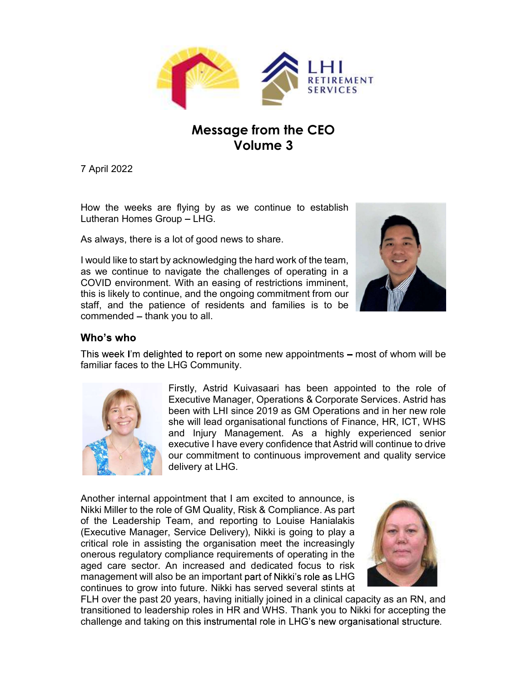

# Message from the CEO Volume 3

Lutheran Homes Group - LHG.

As always, there is a lot of good news to share.

as we continue to navigate the challenges of operating in a COVID environment. With an easing of restrictions imminent, **EXECUTE THE SECUTE THE SECUTE OF SECURE AND SERVICES**<br> **SERVICES**<br>
The ongoing to continue of the original but<br>
As always, there is a lot of good news to share.<br>
As always, there is a lot of good news to share.<br>
The origi SERVICES<br>
Message from the CEO<br>
Volume 3<br>
TApril 2022<br>
How the weeks are flying by as we continue to establish<br>
Lutheran Homes Group – LHG.<br>
As always, there is a lot of good news to share.<br>
I would like to start by acknow commended - thank you to all.



This week I'm delighted to report on some new appointments – most of whom will be familiar faces to the LHG Community.



Firstly, Astrid Kuivasaari has been appointed to the role of approximate the challenges of operating in a<br>wigate the challenges of operating in a<br>wigate the challenges of operating in a<br>with an easing of restrictions immin Executive Manager Manager Manager Manager Corporations (and the produced and waveloping the challenges of operating in a<br>mavigate the challenges of operating in a<br>wignet of residents and families is to be<br>when the ongoing between which since the continue to establish<br>the up – LHG.<br>In the of good news to share.<br>acknowledging the hard work of the team,<br>acknowledging the collenges of operations imminent,<br>we, and the ongoing commitment from our s flying by as we continue to establish<br>
sup – LHG.<br>
I lot of good news to share.<br>
ackknowledging the hard work of the team,<br>
awigate the challenges of operating in a<br>
... With an easing of restrictions imminient,<br>
use, an is hying by as we columbe to establish<br>
youp – LHG.<br>
Let of good news to share.<br>
and the challenges of operating in a<br>
2. With an easing of restrictions imminent,<br>
we, and the ongoing commitment from our<br>
mence of resident executive I have every confidence that Astrid will continue to drive our commitment to continuous improvement and quality service delivery at LHG.

Another internal appointment that I am excited to announce, is Nikki Miller to the role of GM Quality, Risk & Compliance. As part of the Leadership Team, and reporting to Louise Hanialakis (Executive Manager, Service Delivery), Nikki is going to play a critical role in assisting the organisation meet the increasingly onerous regulatory compliance requirements of operating in the aged care sector. An increased and dedicated focus to risk management will also be an important part of Nikki's role as LHG The multimum fraces to the LHG Community.<br>
Firstly, Astrid Kuiwasaari has been appointed to the role of<br>
Executive Manager, Operations & Corporate Services. Astrid has<br>
been with LHI since 2019 as GM Operations and in her



FLH over the past 20 years, having initially joined in a clinical capacity as an RN, and transitioned to leadership roles in HR and WHS. Thank you to Nikki for accepting the challenge and taking on this instrumental role in LHG's new organisational structure.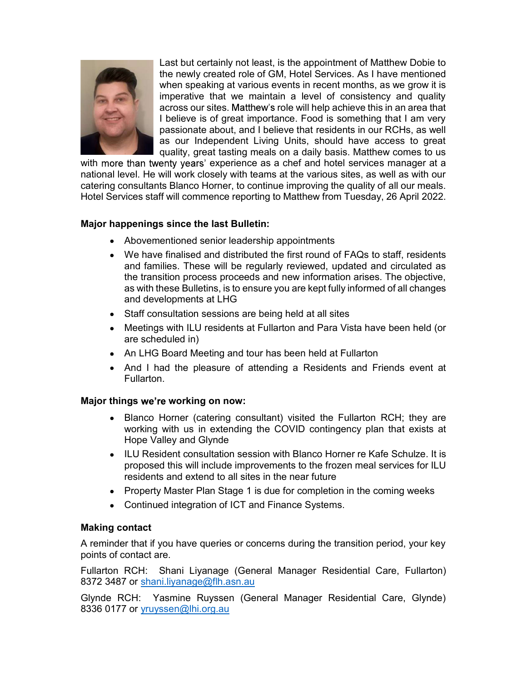

Last but certainly not least, is the appointment of Matthew Dobie to the newly created role of GM, Hotel Services. As I have mentioned when speaking at various events in recent months, as we grow it is imperative that we maintain a level of consistency and quality across our sites. Matthew's role will help achieve this in an area that I believe is of great importance. Food is something that I am very passionate about, and I believe that residents in our RCHs, as well as our Independent Living Units, should have access to great quality, great tasting meals on a daily basis. Matthew comes to us

with more than twenty years' experience as a chef and hotel services manager at a national level. He will work closely with teams at the various sites, as well as with our catering consultants Blanco Horner, to continue improving the quality of all our meals. Hotel Services staff will commence reporting to Matthew from Tuesday, 26 April 2022.

# Major happenings since the last Bulletin:

- Abovementioned senior leadership appointments
- We have finalised and distributed the first round of FAQs to staff, residents and families. These will be regularly reviewed, updated and circulated as the transition process proceeds and new information arises. The objective, as with these Bulletins, is to ensure you are kept fully informed of all changes and developments at LHG
- Staff consultation sessions are being held at all sites
- Meetings with ILU residents at Fullarton and Para Vista have been held (or are scheduled in)
- An LHG Board Meeting and tour has been held at Fullarton
- And I had the pleasure of attending a Residents and Friends event at Fullarton.

## Major things we're working on now:

- Blanco Horner (catering consultant) visited the Fullarton RCH; they are working with us in extending the COVID contingency plan that exists at Hope Valley and Glynde
- ILU Resident consultation session with Blanco Horner re Kafe Schulze. It is proposed this will include improvements to the frozen meal services for ILU residents and extend to all sites in the near future
- Property Master Plan Stage 1 is due for completion in the coming weeks
- Continued integration of ICT and Finance Systems.

## Making contact

A reminder that if you have queries or concerns during the transition period, your key points of contact are.

Fullarton RCH: Shani Liyanage (General Manager Residential Care, Fullarton) 8372 3487 or shani.liyanage@flh.asn.au

Glynde RCH: Yasmine Ruyssen (General Manager Residential Care, Glynde) 8336 0177 or yruyssen@lhi.org.au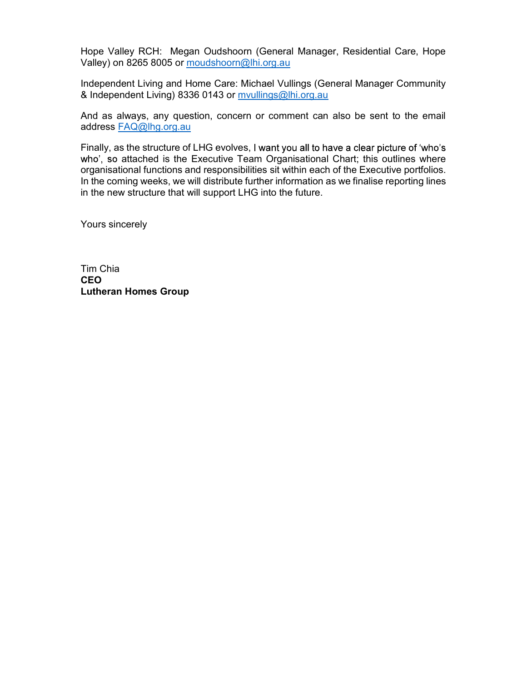Hope Valley RCH: Megan Oudshoorn (General Manager, Residential Care, Hope Valley) on 8265 8005 or moudshoorn@lhi.org.au

Independent Living and Home Care: Michael Vullings (General Manager Community & Independent Living) 8336 0143 or mvullings@lhi.org.au

And as always, any question, concern or comment can also be sent to the email address FAQ@lhg.org.au

Finally, as the structure of LHG evolves, I want you all to have a clear picture of 'who's who', so attached is the Executive Team Organisational Chart; this outlines where organisational functions and responsibilities sit within each of the Executive portfolios. In the coming weeks, we will distribute further information as we finalise reporting lines in the new structure that will support LHG into the future.

Yours sincerely

Tim Chia **CEO CEO** Lutheran Homes Group